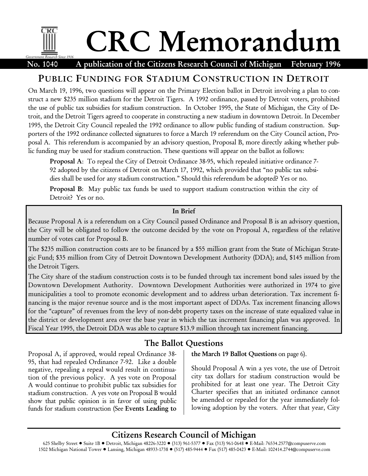# CRC Memorandum Government Research Since 1916

No. 1040 A publication of the Citizens Research Council of Michigan February 1996

# PUBLIC FUNDING FOR STADIUM CONSTRUCTION IN DETROIT

On March 19, 1996, two questions will appear on the Primary Election ballot in Detroit involving a plan to construct a new \$235 million stadium for the Detroit Tigers. A 1992 ordinance, passed by Detroit voters, prohibited the use of public tax subsidies for stadium construction. In October 1995, the State of Michigan, the City of Detroit, and the Detroit Tigers agreed to cooperate in constructing a new stadium in downtown Detroit. In December 1995, the Detroit City Council repealed the 1992 ordinance to allow public funding of stadium construction. Supporters of the 1992 ordinance collected signatures to force a March 19 referendum on the City Council action, Proposal A. This referendum is accompanied by an advisory question, Proposal B, more directly asking whether public funding may be used for stadium construction. These questions will appear on the ballot as follows:

Proposal A: To repeal the City of Detroit Ordinance 38-95, which repealed initiative ordinance 7- 92 adopted by the citizens of Detroit on March 17, 1992, which provided that "no public tax subsidies shall be used for any stadium construction." Should this referendum be adopted? Yes or no.

Proposal B: May public tax funds be used to support stadium construction within the city of Detroit? Yes or no.

#### In Brief

Because Proposal A is a referendum on a City Council passed Ordinance and Proposal B is an advisory question, the City will be obligated to follow the outcome decided by the vote on Proposal A, regardless of the relative number of votes cast for Proposal B.

The \$235 million construction costs are to be financed by a \$55 million grant from the State of Michigan Strategic Fund; \$35 million from City of Detroit Downtown Development Authority (DDA); and, \$145 million from the Detroit Tigers.

The City share of the stadium construction costs is to be funded through tax increment bond sales issued by the Downtown Development Authority. Downtown Development Authorities were authorized in 1974 to give municipalities a tool to promote economic development and to address urban deterioration. Tax increment financing is the major revenue source and is the most important aspect of DDAs. Tax increment financing allows for the "capture" of revenues from the levy of non-debt property taxes on the increase of state equalized value in the district or development area over the base year in which the tax increment financing plan was approved. In Fiscal Year 1995, the Detroit DDA was able to capture \$13.9 million through tax increment financing.

# The Ballot Questions

Proposal A, if approved, would repeal Ordinance 38- 95, that had repealed Ordinance 7-92. Like a double negative, repealing a repeal would result in continuation of the previous policy. A yes vote on Proposal A would continue to prohibit public tax subsidies for stadium construction. A yes vote on Proposal B would show that public opinion is in favor of using public funds for stadium construction (See Events Leading to

the March 19 Ballot Questions on page 6).

Should Proposal A win a yes vote, the use of Detroit city tax dollars for stadium construction would be prohibited for at least one year. The Detroit City Charter specifies that an initiated ordinance cannot be amended or repealed for the year immediately following adoption by the voters. After that year, City

# Citizens Research Council of Michigan

625 Shelby Street · Suite 1B · Detroit, Michigan 48226-3220 · (313) 961-5377 · Fax (313) 961-0648 · E-Mail: 76534.2577@compuserve.com 1502 Michigan National Tower . Lansing, Michigan 48933-1738 · (517) 485-9444 · Fax (517) 485-0423 · E-Mail: 102414.2744@compuserve.com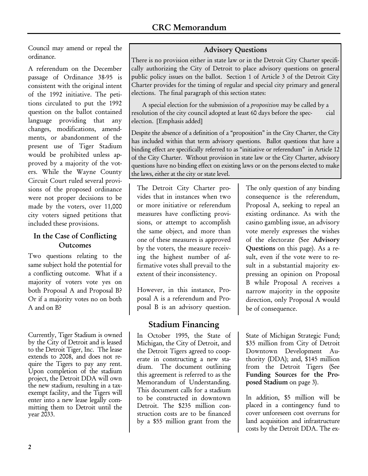Council may amend or repeal the ordinance.

A referendum on the December passage of Ordinance 38-95 is consistent with the original intent of the 1992 initiative. The petitions circulated to put the 1992 question on the ballot contained language providing that any changes, modifications, amendments, or abandonment of the present use of Tiger Stadium would be prohibited unless approved by a majority of the voters. While the Wayne County Circuit Court ruled several provisions of the proposed ordinance were not proper decisions to be made by the voters, over 11,000 city voters signed petitions that included these provisions.

# In the Case of Conflicting Outcomes

Two questions relating to the same subject hold the potential for a conflicting outcome. What if a majority of voters vote yes on both Proposal A and Proposal B? Or if a majority votes no on both A and on B?

Currently, Tiger Stadium is owned by the City of Detroit and is leased to the Detroit Tiger, Inc. The lease extends to 2008, and does not require the Tigers to pay any rent. Upon completion of the stadium project, the Detroit DDA will own the new stadium, resulting in a taxexempt facility, and the Tigers will enter into a new lease legally committing them to Detroit until the year 2033.

### Advisory Questions

There is no provision either in state law or in the Detroit City Charter specifically authorizing the City of Detroit to place advisory questions on general public policy issues on the ballot. Section 1 of Article 3 of the Detroit City Charter provides for the timing of regular and special city primary and general elections. The final paragraph of this section states:

A special election for the submission of a proposition may be called by a resolution of the city council adopted at least 60 days before the spec- cial election. [Emphasis added]

Despite the absence of a definition of a "proposition" in the City Charter, the City has included within that term advisory questions. Ballot questions that have a binding effect are specifically referred to as "initiative or referendum" in Article 12 of the City Charter. Without provision in state law or the City Charter, advisory questions have no binding effect on existing laws or on the persons elected to make the laws, either at the city or state level.

The Detroit City Charter provides that in instances when two or more initiative or referendum measures have conflicting provisions, or attempt to accomplish the same object, and more than one of these measures is approved by the voters, the measure receiving the highest number of affirmative votes shall prevail to the extent of their inconsistency.

However, in this instance, Proposal A is a referendum and Proposal B is an advisory question.

# Stadium Financing

In October 1995, the State of Michigan, the City of Detroit, and the Detroit Tigers agreed to cooperate in constructing a new stadium. The document outlining this agreement is referred to as the Memorandum of Understanding. This document calls for a stadium to be constructed in downtown Detroit. The \$235 million construction costs are to be financed by a \$55 million grant from the

The only question of any binding consequence is the referendum, Proposal A, seeking to repeal an existing ordinance. As with the casino gambling issue, an advisory vote merely expresses the wishes of the electorate (See Advisory Questions on this page). As a result, even if the vote were to result in a substantial majority expressing an opinion on Proposal B while Proposal A receives a narrow majority in the opposite direction, only Proposal A would be of consequence.

State of Michigan Strategic Fund; \$35 million from City of Detroit Downtown Development Authority (DDA); and, \$145 million from the Detroit Tigers (See Funding Sources for the Proposed Stadium on page 3).

In addition, \$5 million will be placed in a contingency fund to cover unforeseen cost overruns for land acquisition and infrastructure costs by the Detroit DDA. The ex-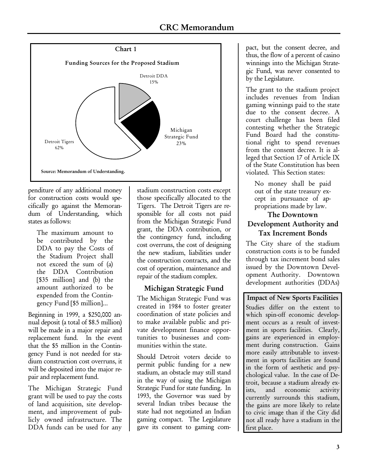

penditure of any additional money for construction costs would specifically go against the Memorandum of Understanding, which states as follows:

The maximum amount to be contributed by the DDA to pay the Costs of the Stadium Project shall not exceed the sum of (a) the DDA Contribution [\$35 million] and (b) the amount authorized to be expended from the Contingency Fund [\$5 million]...

Beginning in 1999, a \$250,000 annual deposit (a total of \$8.5 million) will be made in a major repair and replacement fund. In the event that the \$5 million in the Contingency Fund is not needed for stadium construction cost overruns, it will be deposited into the major repair and replacement fund.

The Michigan Strategic Fund grant will be used to pay the costs of land acquisition, site development, and improvement of publicly owned infrastructure. The DDA funds can be used for any stadium construction costs except those specifically allocated to the Tigers. The Detroit Tigers are responsible for all costs not paid from the Michigan Strategic Fund grant, the DDA contribution, or the contingency fund, including cost overruns, the cost of designing the new stadium, liabilities under the construction contracts, and the cost of operation, maintenance and repair of the stadium complex.

### Michigan Strategic Fund

The Michigan Strategic Fund was created in 1984 to foster greater coordination of state policies and to make available public and private development finance opportunities to businesses and communities within the state.

Should Detroit voters decide to permit public funding for a new stadium, an obstacle may still stand in the way of using the Michigan Strategic Fund for state funding. In 1993, the Governor was sued by several Indian tribes because the state had not negotiated an Indian gaming compact. The Legislature gave its consent to gaming compact, but the consent decree, and thus, the flow of a percent of casino winnings into the Michigan Strategic Fund, was never consented to by the Legislature.

The grant to the stadium project includes revenues from Indian gaming winnings paid to the state due to the consent decree. A court challenge has been filed contesting whether the Strategic Fund Board had the constitutional right to spend revenues from the consent decree. It is alleged that Section 17 of Article IX of the State Constitution has been violated. This Section states:

No money shall be paid out of the state treasury except in pursuance of appropriations made by law.

#### The Downtown Development Authority and Tax Increment Bonds

The City share of the stadium construction costs is to be funded through tax increment bond sales issued by the Downtown Development Authority. Downtown development authorities (DDAs)

Impact of New Sports Facilities Studies differ on the extent to which spin-off economic development occurs as a result of investment in sports facilities. Clearly, gains are experienced in employment during construction. Gains more easily attributable to investment in sports facilities are found in the form of aesthetic and psychological value. In the case of Detroit, because a stadium already exists, and economic activity currently surrounds this stadium, the gains are more likely to relate to civic image than if the City did not all ready have a stadium in the first place.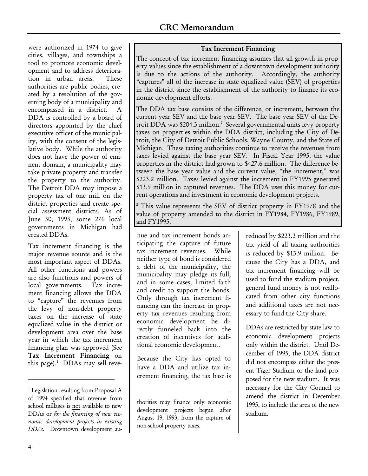were authorized in 1974 to give cities, villages, and townships a tool to promote economic development and to address deterioration in urban areas. These authorities are public bodies, created by a resolution of the governing body of a municipality and encompassed in a district. A DDA is controlled by a board of directors appointed by the chief executive officer of the municipality, with the consent of the legislative body. While the authority does not have the power of eminent domain, a municipality may take private property and transfer the property to the authority. The Detroit DDA may impose a property tax of one mill on the district properties and create special assessment districts. As of June 30, 1993, some 276 local governments in Michigan had created DDAs.

Tax increment financing is the major revenue source and is the most important aspect of DDAs. All other functions and powers are also functions and powers of<br>local governments. Tax increlocal governments. ment financing allows the DDA to "capture" the revenues from the levy of non-debt property taxes on the increase of state equalized value in the district or development area over the base year in which the tax increment financing plan was approved (See Tax Increment Financing on this page).<sup>1</sup> DDAs may sell reve-

#### Tax Increment Financing

The concept of tax increment financing assumes that all growth in property values since the establishment of a downtown development authority is due to the actions of the authority. Accordingly, the authority "captures" all of the increase in state equalized value (SEV) of properties in the district since the establishment of the authority to finance its economic development efforts.

The DDA tax base consists of the difference, or increment, between the current year SEV and the base year SEV. The base year SEV of the Detroit DDA was \$204.3 million.<sup>2</sup> Several governmental units levy property taxes on properties within the DDA district, including the City of Detroit, the City of Detroit Public Schools, Wayne County, and the State of Michigan. These taxing authorities continue to receive the revenues from taxes levied against the base year SEV. In Fiscal Year 1995, the value properties in the district had grown to \$427.6 million. The difference between the base year value and the current value, "the increment," was \$223.2 million. Taxes levied against the increment in FY1995 generated \$13.9 million in captured revenues. The DDA uses this money for current operations and investment in economic development projects.

<sup>2</sup> This value represents the SEV of district property in FY1978 and the value of property amended to the district in FY1984, FY1986, FY1989, and FY1995.

nue and tax increment bonds anticipating the capture of future tax increment revenues. While neither type of bond is considered a debt of the municipality, the municipality may pledge its full, and in some cases, limited faith and credit to support the bonds. Only through tax increment financing can the increase in property tax revenues resulting from economic development be directly funneled back into the creation of incentives for additional economic development.

Because the City has opted to have a DDA and utilize tax increment financing, the tax base is

j

reduced by \$223.2 million and the tax yield of all taxing authorities is reduced by \$13.9 million. Because the City has a DDA, and tax increment financing will be used to fund the stadium project, general fund money is not reallocated from other city functions and additional taxes are not necessary to fund the City share.

DDAs are restricted by state law to economic development projects only within the district. Until December of 1995, the DDA district did not encompass either the present Tiger Stadium or the land proposed for the new stadium. It was necessary for the City Council to amend the district in December 1995, to include the area of the new stadium.

-

<sup>&</sup>lt;sup>1</sup> Legislation resulting from Proposal A of 1994 specified that revenue from school millages is not available to new DDAs or for the financing of new economic development projects in existing DDAs. Downtown development au-

thorities may finance only economic development projects begun after August 19, 1993, from the capture of non-school property taxes.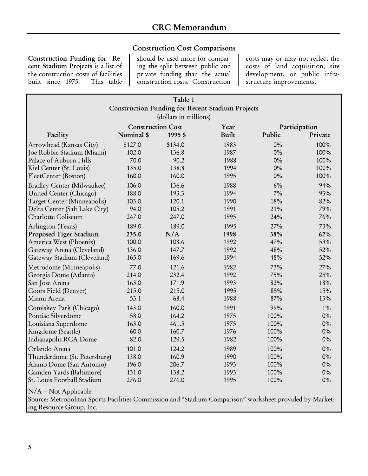### Construction Cost Comparisons

Construction Funding for Recent Stadium Projects is a list of the construction costs of facilities<br>built since 1975. This table built since 1975.

should be used more for comparing the split between public and private funding than the actual construction costs. Construction costs may or may not reflect the costs of land acquisition, site development, or public infrastructure improvements.

| Table 1                                                                                                  |            |         |              |        |         |
|----------------------------------------------------------------------------------------------------------|------------|---------|--------------|--------|---------|
| <b>Construction Funding for Recent Stadium Projects</b><br>(dollars in millions)                         |            |         |              |        |         |
|                                                                                                          |            |         |              |        |         |
| Facility                                                                                                 | Nominal \$ | 1995 \$ | <b>Built</b> | Public | Private |
| Arrowhead (Kansas City)                                                                                  | \$127.0    | \$134.0 | 1983         | $0\%$  | 100%    |
| Joe Robbie Stadium (Miami)                                                                               | 102.0      | 136.8   | 1987         | $0\%$  | 100%    |
| Palace of Auburn Hills                                                                                   | 70.0       | 90.2    | 1988         | $0\%$  | 100%    |
| Kiel Center (St. Louis)                                                                                  | 135.0      | 138.8   | 1994         | $0\%$  | 100%    |
| FleetCenter (Boston)                                                                                     | 160.0      | 160.0   | 1995         | $0\%$  | 100%    |
| <b>Bradley Center (Milwaukee)</b>                                                                        | 106.0      | 136.6   | 1988         | 6%     | 94%     |
| United Center (Chicago)                                                                                  | 188.0      | 193.3   | 1994         | 7%     | 93%     |
| Target Center (Minneapolis)                                                                              | 103.0      | 120.1   | 1990         | 18%    | 82%     |
| Delta Center (Salt Lake City)                                                                            | 94.0       | 105.2   | 1991         | 21%    | 79%     |
| Charlotte Coliseum                                                                                       | 247.0      | 247.0   | 1995         | 24%    | 76%     |
| Arlington (Texas)                                                                                        | 189.0      | 189.0   | 1995         | 27%    | 73%     |
| <b>Proposed Tiger Stadium</b>                                                                            | 235.0      | N/A     | 1998         | 38%    | 62%     |
| America West (Phoenix)                                                                                   | 100.0      | 108.6   | 1992         | 47%    | 53%     |
| Gateway Arena (Cleveland)                                                                                | 136.0      | 147.7   | 1992         | 48%    | 52%     |
| Gateway Stadium (Cleveland)                                                                              | 165.0      | 169.6   | 1994         | 48%    | 52%     |
| Metrodome (Minneapolis)                                                                                  | 77.0       | 121.6   | 1982         | 73%    | 27%     |
| Georgia Dome (Atlanta)                                                                                   | 214.0      | 232.4   | 1992         | 75%    | 25%     |
| San Jose Arena                                                                                           | 163.0      | 171.9   | 1993         | 82%    | 18%     |
| Coors Field (Denver)                                                                                     | 215.0      | 215.0   | 1995         | 85%    | 15%     |
| Miami Arena                                                                                              | 53.1       | 68.4    | 1988         | 87%    | 13%     |
| Comiskey Park (Chicago)                                                                                  | 143.0      | 160.0   | 1991         | 99%    | $1\%$   |
| Pontiac Silverdome                                                                                       | 58.0       | 164.2   | 1975         | 100%   | $0\%$   |
| Louisiana Superdome                                                                                      | 163.0      | 461.5   | 1975         | 100%   | $0\%$   |
| Kingdome (Seattle)                                                                                       | 60.0       | 160.7   | 1976         | 100%   | $0\%$   |
| Indianapolis RCA Dome                                                                                    | 82.0       | 129.5   | 1982         | 100%   | $0\%$   |
| Orlando Arena                                                                                            | 101.0      | 124.2   | 1989         | 100%   | $0\%$   |
| Thunderdome (St. Petersburg)                                                                             | 138.0      | 160.9   | 1990         | 100%   | $0\%$   |
| Alamo Dome (San Antonio)                                                                                 | 196.0      | 206.7   | 1993         | 100%   | $0\%$   |
| Camden Yards (Baltimore)                                                                                 | 131.0      | 138.2   | 1993         | 100%   | $0\%$   |
| St. Louis Football Stadium                                                                               | 276.0      | 276.0   | 1995         | 100%   | $0\%$   |
| N/A -- Not Applicable                                                                                    |            |         |              |        |         |
| Source: Metropolitan Sports Facilities Commission and "Stadium Comparison" worksheet provided by Market- |            |         |              |        |         |
| ing Resource Group, Inc.                                                                                 |            |         |              |        |         |